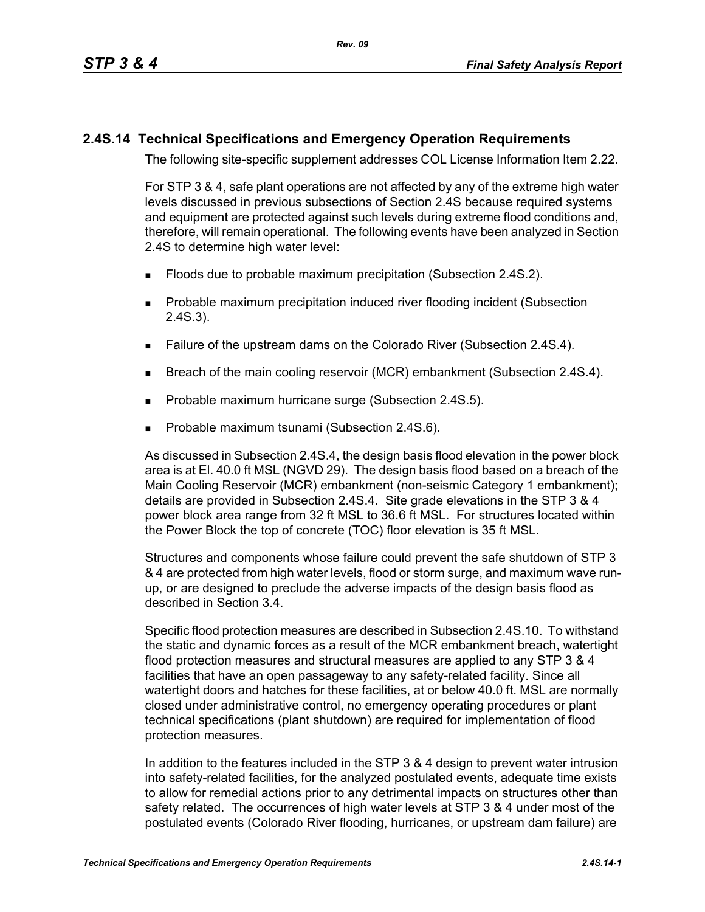## **2.4S.14 Technical Specifications and Emergency Operation Requirements**

The following site-specific supplement addresses COL License Information Item 2.22.

For STP 3 & 4, safe plant operations are not affected by any of the extreme high water levels discussed in previous subsections of Section 2.4S because required systems and equipment are protected against such levels during extreme flood conditions and, therefore, will remain operational. The following events have been analyzed in Section 2.4S to determine high water level:

- **Floods due to probable maximum precipitation (Subsection 2.4S.2).**
- **Probable maximum precipitation induced river flooding incident (Subsection** 2.4S.3).
- Failure of the upstream dams on the Colorado River (Subsection 2.4S.4).
- **Breach of the main cooling reservoir (MCR) embankment (Subsection 2.4S.4).**
- **Probable maximum hurricane surge (Subsection 2.4S.5).**
- Probable maximum tsunami (Subsection 2.4S.6).

As discussed in Subsection 2.4S.4, the design basis flood elevation in the power block area is at El. 40.0 ft MSL (NGVD 29). The design basis flood based on a breach of the Main Cooling Reservoir (MCR) embankment (non-seismic Category 1 embankment); details are provided in Subsection 2.4S.4. Site grade elevations in the STP 3 & 4 power block area range from 32 ft MSL to 36.6 ft MSL. For structures located within the Power Block the top of concrete (TOC) floor elevation is 35 ft MSL.

Structures and components whose failure could prevent the safe shutdown of STP 3 & 4 are protected from high water levels, flood or storm surge, and maximum wave runup, or are designed to preclude the adverse impacts of the design basis flood as described in Section 3.4.

Specific flood protection measures are described in Subsection 2.4S.10. To withstand the static and dynamic forces as a result of the MCR embankment breach, watertight flood protection measures and structural measures are applied to any STP 3 & 4 facilities that have an open passageway to any safety-related facility. Since all watertight doors and hatches for these facilities, at or below 40.0 ft. MSL are normally closed under administrative control, no emergency operating procedures or plant technical specifications (plant shutdown) are required for implementation of flood protection measures.

In addition to the features included in the STP 3 & 4 design to prevent water intrusion into safety-related facilities, for the analyzed postulated events, adequate time exists to allow for remedial actions prior to any detrimental impacts on structures other than safety related. The occurrences of high water levels at STP 3 & 4 under most of the postulated events (Colorado River flooding, hurricanes, or upstream dam failure) are